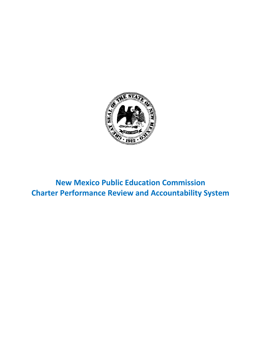

**New Mexico Public Education Commission Charter Performance Review and Accountability System**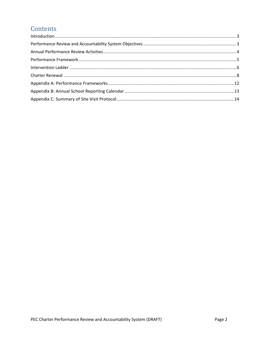# Contents

| $\label{eq:1} \mbox{Introduction} \,\, \ldots \,\, \ldots \,\, \ldots \,\, \ldots \,\, \ldots \,\, \ldots \,\, \ldots \,\, \ldots \,\, \ldots \,\, \ldots \,\, \ldots \,\, \ldots \,\, \ldots \,\, \ldots \,\, \ldots \,\, \ldots \,\, \ldots \,\, \ldots \,\, \ldots \,\, \ldots \,\, \ldots \,\, \ldots \,\, \ldots \,\, \ldots \,\, \ldots \,\, \ldots \,\, \ldots \,\, \ldots \,\, \ldots \,\, \ldots \,\, \ldots \,\, \ldots \,\, \ldots \,\, \ldots \,\,$ |  |
|-----------------------------------------------------------------------------------------------------------------------------------------------------------------------------------------------------------------------------------------------------------------------------------------------------------------------------------------------------------------------------------------------------------------------------------------------------------------|--|
|                                                                                                                                                                                                                                                                                                                                                                                                                                                                 |  |
|                                                                                                                                                                                                                                                                                                                                                                                                                                                                 |  |
|                                                                                                                                                                                                                                                                                                                                                                                                                                                                 |  |
|                                                                                                                                                                                                                                                                                                                                                                                                                                                                 |  |
|                                                                                                                                                                                                                                                                                                                                                                                                                                                                 |  |
|                                                                                                                                                                                                                                                                                                                                                                                                                                                                 |  |
|                                                                                                                                                                                                                                                                                                                                                                                                                                                                 |  |
|                                                                                                                                                                                                                                                                                                                                                                                                                                                                 |  |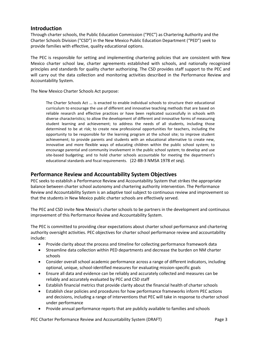## <span id="page-2-0"></span>**Introduction**

Through charter schools, the Public Education Commission ("PEC") as Chartering Authority and the Charter Schools Division ("CSD") in the New Mexico Public Education Department ("PED") seek to provide families with effective, quality educational options.

The PEC is responsible for setting and implementing chartering policies that are consistent with New Mexico charter school law, charter agreements established with schools, and nationally recognized principles and standards for quality charter authorizing. The CSD provides staff support to the PEC and will carry out the data collection and monitoring activities described in the Performance Review and Accountability System.

The New Mexico Charter Schools Act purpose:

The Charter Schools Act … is enacted to enable individual schools to structure their educational curriculum to encourage the use of different and innovative teaching methods that are based on reliable research and effective practices or have been replicated successfully in schools with diverse characteristics; to allow the development of different and innovative forms of measuring student learning and achievement; to address the needs of all students, including those determined to be at risk; to create new professional opportunities for teachers, including the opportunity to be responsible for the learning program at the school site; to improve student achievement; to provide parents and students with an educational alternative to create new, innovative and more flexible ways of educating children within the public school system; to encourage parental and community involvement in the public school system; to develop and use site-based budgeting; and to hold charter schools accountable for meeting the department's educational standards and fiscal requirements. (22-8B-3 NMSA 1978 *et seq*).

## <span id="page-2-1"></span>**Performance Review and Accountability System Objectives**

PEC seeks to establish a Performance Review and Accountability System that strikes the appropriate balance between charter school autonomy and chartering authority intervention. The Performance Review and Accountability System is an adaptive tool subject to continuous review and improvement so that the students in New Mexico public charter schools are effectively served.

The PEC and CSD invite New Mexico's charter schools to be partners in the development and continuous improvement of this Performance Review and Accountability System.

The PEC is committed to providing clear expectations about charter school performance and chartering authority oversight activities. PEC objectives for charter school performance review and accountability include:

- Provide clarity about the process and timeline for collecting performance framework data
- Streamline data collection within PED departments and decrease the burden on NM charter schools
- Consider overall school academic performance across a range of different indicators, including optional, unique, school-identified measures for evaluating mission-specific goals
- Ensure all data and evidence can be reliably and accurately collected and measures can be reliably and accurately evaluated by PEC and CSD staff
- Establish financial metrics that provide clarity about the financial health of charter schools
- Establish clear policies and procedures for how performance frameworks inform PEC actions and decisions, including a range of interventions that PEC will take in response to charter school under performance
- Provide annual performance reports that are publicly available to families and schools

PEC Charter Performance Review and Accountability System (DRAFT) Page 3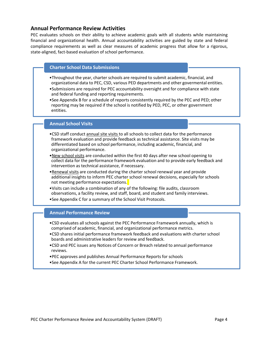## <span id="page-3-0"></span>**Annual Performance Review Activities**

PEC evaluates schools on their ability to achieve academic goals with all students while maintaining financial and organizational health. Annual accountability activities are guided by state and federal compliance requirements as well as clear measures of academic progress that allow for a rigorous, state-aligned, fact-based evaluation of school performance.

#### **Charter School Data Submissions**

- •Throughout the year, charter schools are required to submit academic, financial, and organizational data to PEC, CSD, various PED departments and other govermental entities.
- •Submissions are required for PEC accountability oversight and for compliance with state and federal funding and reporting requirements.
- •See Appendix B for a schedule of reports consistently required by the PEC and PED; other reporting may be required if the school is notified by PED, PEC, or other government entities.

#### **Annual School Visits**

- •CSD staff conduct annual site visits to all schools to collect data for the performance framework evaluation and provide feedback as technical assistance. Site visits may be differentiated based on school performance, including academic, financial, and organizational performance.
- •New school visits are conducted within the first 40 days after new school opening to collect data for the performance framework evaluation and to provide early feedback and intervention as technical assistance, if necessary.
- •Renewal visits are conducted during the charter school renewal year and provide additional insights to inform PEC charter school renewal decisions, especially for schools not meeting performance expectations.
- •Visits can include a combination of any of the following: file audits, classroom observations, a facility review, and staff, board, and student and family interviews.
- •See Appendix C for a summary of the School Visit Protocols.

#### **Annual Performance Review**

- •CSD evaluates all schools against the PEC Performance Framework annually, which is comprised of academic, financial, and organizational performance metrics.
- •CSD shares initial performance framework feedback and evaluations with charter school boards and administrative leaders for review and feedback.
- •CSD and PEC issues any Notices of Concern or Breach related to annual performance reviews.
- •PEC approves and publishes Annual Performance Reports for schools
- •See Appendix A for the current PEC Charter School Performance Framework.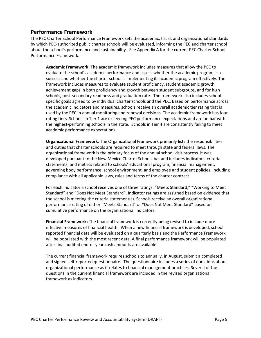## <span id="page-4-0"></span>**Performance Framework**

The PEC Charter School Performance Framework sets the academic, fiscal, and organizational standards by which PEC-authorized public charter schools will be evaluated, informing the PEC and charter school about the school's performance and sustainability. See Appendix A for the current PEC Charter School Performance Framework.

**Academic Framework:** The academic framework includes measures that allow the PEC to evaluate the school's academic performance and assess whether the academic program is a success and whether the charter school is implementing its academic program effectively. The framework includes measures to evaluate student proficiency, student academic growth, achievement gaps in both proficiency and growth between student subgroups, and for high schools, post-secondary readiness and graduation rate. The framework also includes schoolspecific goals agreed to by individual charter schools and the PEC. Based on performance across the academic indicators and measures, schools receive an overall academic tier rating that is used by the PEC in annual monitoring and renewal decisions. The academic framework has four rating tiers. Schools in Tier 1 are exceeding PEC performance expectations and are on par with the highest-performing schools in the state. Schools in Tier 4 are consistently failing to meet academic performance expectations.

**Organizational Framework**: The Organizational Framework primarily lists the responsibilities and duties that charter schools are required to meet through state and federal laws. The organizational framework is the primary focus of the annual school visit process. It was developed pursuant to the New Mexico Charter Schools Act and includes indicators, criteria statements, and metrics related to schools' educational program, financial management, governing body performance, school environment, and employee and student policies, including compliance with all applicable laws, rules and terms of the charter contract.

For each indicator a school receives one of three ratings: "Meets Standard," "Working to Meet Standard" and "Does Not Meet Standard". Indicator ratings are assigned based on evidence that the school is meeting the criteria statement(s). Schools receive an overall organizational performance rating of either "Meets Standard" or "Does Not Meet Standard" based on cumulative performance on the organizational indicators.

**Financial Framework:** The financial framework is currently being revised to include more effective measures of financial health. When a new financial framework is developed, school reported financial data will be evaluated on a quarterly basis and the Performance Framework will be populated with the most recent data. A final performance framework will be populated after final audited end-of-year cash amounts are available.

The current financial framework requires schools to annually, in August, submit a completed and signed self-reported questionnaire. The questionnaire includes a series of questions about organizational performance as it relates to financial management practices. Several of the questions in the current financial framework are included in the revised organizational framework as indicators.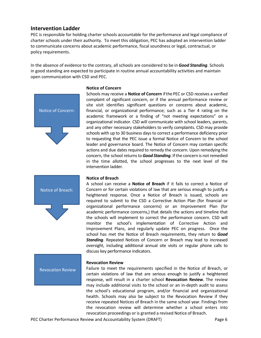### <span id="page-5-0"></span>**Intervention Ladder**

PEC is responsible for holding charter schools accountable for the performance and legal compliance of charter schools under their authority. To meet this obligation, PEC has adopted an intervention ladder to communicate concerns about academic performance, fiscal soundness or legal, contractual, or policy requirements.

In the absence of evidence to the contrary, all schools are considered to be in *Good Standing*. Schools in good standing are expected to participate in routine annual accountability activities and maintain open communication with CSD and PEC.



Notice of Breach:

#### **Notice of Concern**

Schools may receive a **Notice of Concern** ifthe PEC or CSD receives a verified complaint of significant concern, or if the annual performance review or site visit identifies significant questions or concerns about academic, financial, or organizational performance; such as a Tier 4 rating on the academic framework or a finding of "not meeting expectations" on a organizational indicator. CSD will communicate with school leaders, parents, and any other necessary stakeholders to verify complaints. CSD may provide schools with up to 30 business days to correct a performance deficiency prior to requesting that the PEC issue a formal Notice of Concern to the school leader and governance board. The Notice of Concern may contain specific actions and due dates required to remedy the concern. Upon remedying the concern, the school returns to **Good Standing**. If the concern is not remedied in the time allotted, the school progresses to the next level of the intervention ladder.

#### **Notice of Breach**

A school can receive a **Notice of Breach** if it fails to correct a Notice of Concern or for certain violations of law that are serious enough to justify a heightened response. Once a Notice of Breach is issued, schools are required to submit to the CSD a Corrective Action Plan (for financial or organizational performance concerns) or an Improvement Plan (for academic performance concerns,) that details the actions and timeline that the schools will implement to correct the performance concern. CSD will monitor the school's implementation of Corrective Action and Improvement Plans, and regularly update PEC on progress. Once the school has met the Notice of Breach requirements, they return to *Good Standing*. Repeated Notices of Concern or Breach may lead to increased oversight, including additional annual site visits or regular phone calls to discuss key performance indicators.

#### **Revocation Review**

Failure to meet the requirements specified in the Notice of Breach, or certain violations of law that are serious enough to justify a heightened response, will result in a charter school **Revocation Review**. The review may include additional visits to the school or an in-depth audit to assess the school's educational program, and/or financial and organizational health. Schools may also be subject to the Revocation Review if they receive repeated Notices of Breach in the same school year. Findings from the revocation review will determine whether a school enters into revocation proceedings or is granted a revised Notice of Breach.

Revocation Review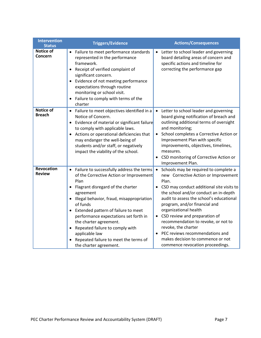| <b>Intervention</b><br><b>Status</b> | <b>Triggers/Evidence</b>                                                                                                                                                                                                                                                                                                                                                                                                                                                                      | <b>Actions/Consequences</b>                                                                                                                                                                                                                                                                                                                                                                                                                                                                                |
|--------------------------------------|-----------------------------------------------------------------------------------------------------------------------------------------------------------------------------------------------------------------------------------------------------------------------------------------------------------------------------------------------------------------------------------------------------------------------------------------------------------------------------------------------|------------------------------------------------------------------------------------------------------------------------------------------------------------------------------------------------------------------------------------------------------------------------------------------------------------------------------------------------------------------------------------------------------------------------------------------------------------------------------------------------------------|
| <b>Notice of</b><br>Concern          | Failure to meet performance standards<br>represented in the performance<br>framework.<br>Receipt of verified complaint of<br>$\bullet$<br>significant concern.<br>Evidence of not meeting performance<br>$\bullet$<br>expectations through routine<br>monitoring or school visit.<br>Failure to comply with terms of the<br>$\bullet$<br>charter                                                                                                                                              | Letter to school leader and governing<br>board detailing areas of concern and<br>specific actions and timeline for<br>correcting the performance gap                                                                                                                                                                                                                                                                                                                                                       |
| <b>Notice of</b><br><b>Breach</b>    | Failure to meet objectives identified in a<br>$\bullet$<br>Notice of Concern.<br>Evidence of material or significant failure<br>$\bullet$<br>to comply with applicable laws.<br>Actions or operational deficiencies that<br>$\bullet$<br>may endanger the well-being of<br>students and/or staff, or negatively<br>impact the viability of the school.                                                                                                                                        | Letter to school leader and governing<br>board giving notification of breach and<br>outlining additional terms of oversight<br>and monitoring;<br>School completes a Corrective Action or<br>Improvement Plan with specific<br>improvements, objectives, timelines,<br>measures.<br>CSD monitoring of Corrective Action or<br>Improvement Plan.                                                                                                                                                            |
| Revocation<br><b>Review</b>          | Failure to successfully address the terms<br>$\bullet$<br>of the Corrective Action or Improvement<br>Plan<br>Flagrant disregard of the charter<br>agreement<br>Illegal behavior, fraud, misappropriation<br>$\bullet$<br>of funds<br>Extended pattern of failure to meet<br>$\bullet$<br>performance expectations set forth in<br>the charter agreement.<br>Repeated failure to comply with<br>$\bullet$<br>applicable law<br>Repeated failure to meet the terms of<br>the charter agreement. | Schools may be required to complete a<br>new Corrective Action or Improvement<br>Plan.<br>CSD may conduct additional site visits to<br>the school and/or conduct an in-depth<br>audit to assess the school's educational<br>program, and/or financial and<br>organizational health<br>CSD review and preparation of<br>recommendation to revoke, or not to<br>revoke, the charter<br>PEC reviews recommendations and<br>$\bullet$<br>makes decision to commence or not<br>commence revocation proceedings. |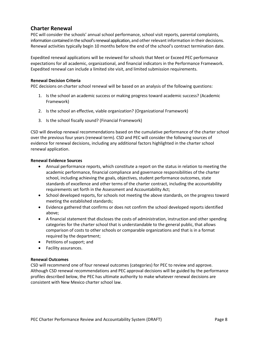## <span id="page-7-0"></span>**Charter Renewal**

PEC will consider the schools' annual school performance, school visit reports, parental complaints, information contained in the school's renewal application, and other relevant information in their decisions. Renewal activities typically begin 10 months before the end of the school's contract termination date.

Expedited renewal applications will be reviewed for schools that Meet or Exceed PEC performance expectations for all academic, organizational, and financial indicators in the Performance Framework. Expedited renewal can include a limited site visit, and limited submission requirements.

#### **Renewal Decision Criteria**

PEC decisions on charter school renewal will be based on an analysis of the following questions:

- 1. Is the school an academic success or making progress toward academic success? (Academic Framework)
- 2. Is the school an effective, viable organization? (Organizational Framework)
- 3. Is the school fiscally sound? (Financial Framework)

CSD will develop renewal recommendations based on the cumulative performance of the charter school over the previous four years (renewal term). CSD and PEC will consider the following sources of evidence for renewal decisions, including any additional factors highlighted in the charter school renewal application.

#### **Renewal Evidence Sources**

- Annual performance reports, which constitute a report on the status in relation to meeting the academic performance, financial compliance and governance responsibilities of the charter school, including achieving the goals, objectives, student performance outcomes, state standards of excellence and other terms of the charter contract, including the accountability requirements set forth in the Assessment and Accountability Act;
- School developed reports, for schools not meeting the above standards, on the progress toward meeting the established standards;
- Evidence gathered that confirms or does not confirm the school developed reports identified above;
- A financial statement that discloses the costs of administration, instruction and other spending categories for the charter school that is understandable to the general public, that allows comparison of costs to other schools or comparable organizations and that is in a format required by the department;
- Petitions of support; and
- Facility assurances.

#### **Renewal Outcomes**

CSD will recommend one of four renewal outcomes (categories) for PEC to review and approve. Although CSD renewal recommendations and PEC approval decisions will be guided by the performance profiles described below, the PEC has ultimate authority to make whatever renewal decisions are consistent with New Mexico charter school law.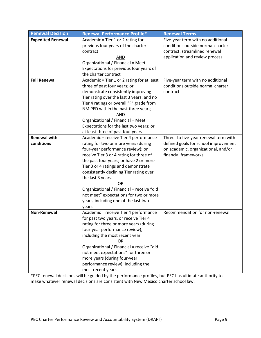| <b>Renewal Decision</b>  | <b>Renewal Performance Profile*</b>        | <b>Renewal Terms</b>                  |
|--------------------------|--------------------------------------------|---------------------------------------|
| <b>Expedited Renewal</b> | Academic = Tier 1 or 2 rating for          | Five-year term with no additional     |
|                          | previous four years of the charter         | conditions outside normal charter     |
|                          | contract                                   | contract; streamlined renewal         |
|                          | AND                                        | application and review process        |
|                          | Organizational / Financial = Meet          |                                       |
|                          | Expectations for previous four years of    |                                       |
|                          | the charter contract                       |                                       |
| <b>Full Renewal</b>      | Academic = Tier 1 or 2 rating for at least | Five-year term with no additional     |
|                          | three of past four years; or               | conditions outside normal charter     |
|                          | demonstrate consistently improving         | contract                              |
|                          | Tier rating over the last 3 years; and no  |                                       |
|                          | Tier 4 ratings or overall "F" grade from   |                                       |
|                          | NM PED within the past three years;        |                                       |
|                          | AND                                        |                                       |
|                          | Organizational / Financial = Meet          |                                       |
|                          | Expectations for the last two years; or    |                                       |
|                          | at least three of past four years          |                                       |
| <b>Renewal with</b>      | Academic = receive Tier 4 performance      | Three- to five-year renewal term with |
| conditions               | rating for two or more years (during       | defined goals for school improvement  |
|                          | four-year performance review); or          | on academic, organizational, and/or   |
|                          | receive Tier 3 or 4 rating for three of    | financial frameworks                  |
|                          | the past four years; or have 2 or more     |                                       |
|                          | Tier 3 or 4 ratings and demonstrate        |                                       |
|                          | consistently declining Tier rating over    |                                       |
|                          | the last 3 years.                          |                                       |
|                          | OR                                         |                                       |
|                          | Organizational / Financial = receive "did  |                                       |
|                          | not meet" expectations for two or more     |                                       |
|                          | years, including one of the last two       |                                       |
|                          | years                                      |                                       |
| Non-Renewal              | Academic = receive Tier 4 performance      | Recommendation for non-renewal        |
|                          | for past two years, or receive Tier 4      |                                       |
|                          | rating for three or more years (during     |                                       |
|                          | four-year performance review);             |                                       |
|                          | including the most recent year             |                                       |
|                          | $OR$                                       |                                       |
|                          | Organizational / Financial = receive "did  |                                       |
|                          | not meet expectations" for three or        |                                       |
|                          | more years (during four-year               |                                       |
|                          | performance review); including the         |                                       |
|                          | most recent years                          |                                       |

\*PEC renewal decisions will be guided by the performance profiles, but PEC has ultimate authority to make whatever renewal decisions are consistent with New Mexico charter school law.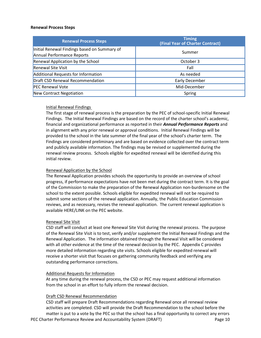#### **Renewal Process Steps**

| <b>Renewal Process Steps</b>                                               | <b>Timing</b><br>(Final Year of Charter Contract) |
|----------------------------------------------------------------------------|---------------------------------------------------|
| Initial Renewal Findings based on Summary of<br>Annual Performance Reports | Summer                                            |
| Renewal Application by the School                                          | October 3                                         |
| <b>Renewal Site Visit</b>                                                  | Fall                                              |
| Additional Requests for Information                                        | As needed                                         |
| Draft CSD Renewal Recommendation                                           | <b>Early December</b>                             |
| <b>PEC Renewal Vote</b>                                                    | Mid-December                                      |
| New Contract Negotiation                                                   | Spring                                            |

#### Initial Renewal Findings

The first stage of renewal process is the preparation by the PEC of school-specific Initial Renewal Findings. The Initial Renewal Findings are based on the record of the charter school's academic, financial and organizational performance as reported in their *Annual Performance Reports* and in alignment with any prior renewal or approval conditions. Initial Renewal Findings will be provided to the school in the late summer of the final year of the school's charter term. The Findings are considered preliminary and are based on evidence collected over the contract term and publicly available information. The findings may be revised or supplemented during the renewal review process. Schools eligible for expedited renewal will be identified during this initial review.

#### Renewal Application by the School

The Renewal Application provides schools the opportunity to provide an overview of school progress, if performance expectations have not been met during the contract term. It is the goal of the Commission to make the preparation of the Renewal Application non-burdensome on the school to the extent possible. Schools eligible for expedited renewal will not be required to submit some sections of the renewal application. Annually, the Public Education Commission reviews, and as necessary, revises the renewal application. The current renewal application is available HERE/LINK on the PEC website.

#### Renewal Site Visit

CSD staff will conduct at least one Renewal Site Visit during the renewal process. The purpose of the Renewal Site Visit is to test, verify and/or supplement the Initial Renewal Findings and the Renewal Application. The information obtained through the Renewal Visit will be considered with all other evidence at the time of the renewal decision by the PEC. Appendix C provides more detailed information regarding site visits. Schools eligible for expedited renewal will receive a shorter visit that focuses on gathering community feedback and verifying any outstanding performance corrections.

#### Additional Requests for Information

At any time during the renewal process, the CSD or PEC may request additional information from the school in an effort to fully inform the renewal decision.

#### Draft CSD Renewal Recommendation

PEC Charter Performance Review and Accountability System (DRAFT) Page 10 CSD staff will prepare Draft Recommendations regarding Renewal once all renewal review activities are completed. CSD will provide the Draft Recommendation to the school before the matter is put to a vote by the PEC so that the school has a final opportunity to correct any errors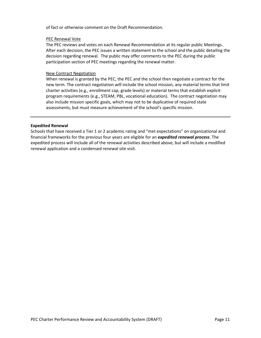of fact or otherwise comment on the Draft Recommendation.

#### PEC Renewal Vote

The PEC reviews and votes on each Renewal Recommendation at its regular public Meetings. After each decision, the PEC issues a written statement to the school and the public detailing the decision regarding renewal. The public may offer comments to the PEC during the public participation section of PEC meetings regarding the renewal matter.

#### New Contract Negotiation

When renewal is granted by the PEC, the PEC and the school then negotiate a contract for the new term. The contract negotiation will include the school mission, any material terms that limit charter activities (e.g., enrollment cap, grade levels) or material terms that establish explicit program requirements (e.g., STEAM, PBL, vocational education). The contract negotiation may also include mission specific goals, which may not to be duplicative of required state assessments, but must measure achievement of the school's specific mission.

#### **Expedited Renewal**

Schools that have received a Tier 1 or 2 academic rating and "met expectations" on organizational and financial frameworks for the previous four years are eligible for an *expedited renewal process*. The expedited process will include all of the renewal activities described above, but will include a modified renewal application and a condensed renewal site visit.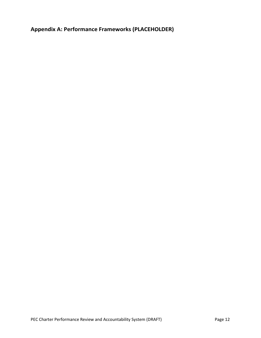<span id="page-11-0"></span>**Appendix A: Performance Frameworks (PLACEHOLDER)**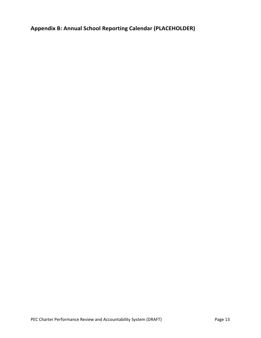<span id="page-12-0"></span>**Appendix B: Annual School Reporting Calendar (PLACEHOLDER)**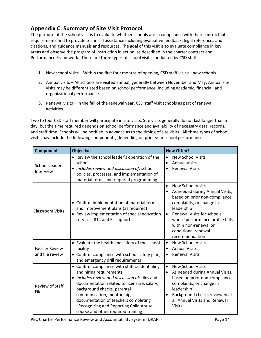## <span id="page-13-0"></span>**Appendix C: Summary of Site Visit Protocol**

The purpose of the school visit is to evaluate whether schools are in compliance with their contractual requirements and to provide technical assistance including evaluative feedback, legal references and citations, and guidance manuals and resources. The goal of this visit is to evaluate compliance in key areas and observe the program of instruction in action, as described in the charter contract and Performance Framework. There are three types of school visits conducted by CSD staff:

- **1.** New school visits Within the first four months of opening, CSD staff visit all new schools.
- 2. Annual visits All schools are visited annual, generally between November and May. Annual site visits may be differentiated based on school performance, including academic, financial, and organizational performance.
- **3.** Renewal visits In the fall of the renewal year, CSD staff visit schools as part of renewal activities.

Two to four CSD staff member will participate in site visits. Site visits generally do not last longer than a day, but the time required depends on school performance and availability of necessary data, records, and staff time. Schools will be notified in advance as to the timing of site visits. All three types of school visits may include the following components, depending on prior year school performance:

| <b>Component</b>                          | <b>Objective</b>                                                                                                                                                                                                                                                                                                                                                | <b>How Often?</b>                                                                                                                                                                                                                                                                                           |
|-------------------------------------------|-----------------------------------------------------------------------------------------------------------------------------------------------------------------------------------------------------------------------------------------------------------------------------------------------------------------------------------------------------------------|-------------------------------------------------------------------------------------------------------------------------------------------------------------------------------------------------------------------------------------------------------------------------------------------------------------|
| <b>School Leader</b><br>Interview         | • Review the school leader's operation of the<br>school<br>• Includes review and discussion of: school<br>policies, processes, and implementation of<br>material terms and required programming                                                                                                                                                                 | <b>New School Visits</b><br>$\bullet$<br><b>Annual Visits</b><br><b>Renewal Visits</b><br>$\bullet$                                                                                                                                                                                                         |
| <b>Classroom Visits</b>                   | • Confirm implementation of material terms<br>and improvement plans (as required)<br>• Review implementation of special education<br>services, RTI, and EL supports                                                                                                                                                                                             | <b>New School Visits</b><br>$\bullet$<br>As needed during Annual Visits,<br>based on prior non-compliance,<br>complaints, or change in<br>leadership<br><b>Renewal Visits for schools</b><br>$\bullet$<br>whose performance profile falls<br>within non-renewal or<br>conditional renewal<br>recommendation |
| <b>Facility Review</b><br>and file review | • Evaluate the health and safety of the school<br>facility<br>• Confirm compliance with school safety plan,<br>and emergency drill requirements                                                                                                                                                                                                                 | <b>New School Visits</b><br>$\bullet$<br><b>Annual Visits</b><br>$\bullet$<br><b>Renewal Visits</b><br>$\bullet$                                                                                                                                                                                            |
| Review of Staff<br><b>Files</b>           | • Confirm compliance with staff credentialing<br>and hiring requirements<br>• Includes review and discussion of: files and<br>documentation related to licensure, salary,<br>background checks, parental<br>communication, mentorship,<br>documentation of teachers completing<br>"Recognizing and Reporting Child Abuse"<br>course and other required training | <b>New School Visits</b><br>$\bullet$<br>As needed during Annual Visits,<br>$\bullet$<br>based on prior non-compliance,<br>complaints, or change in<br>leadership<br>Background checks reviewed at<br>all Annual Visits and Renewal<br><b>Visits</b>                                                        |